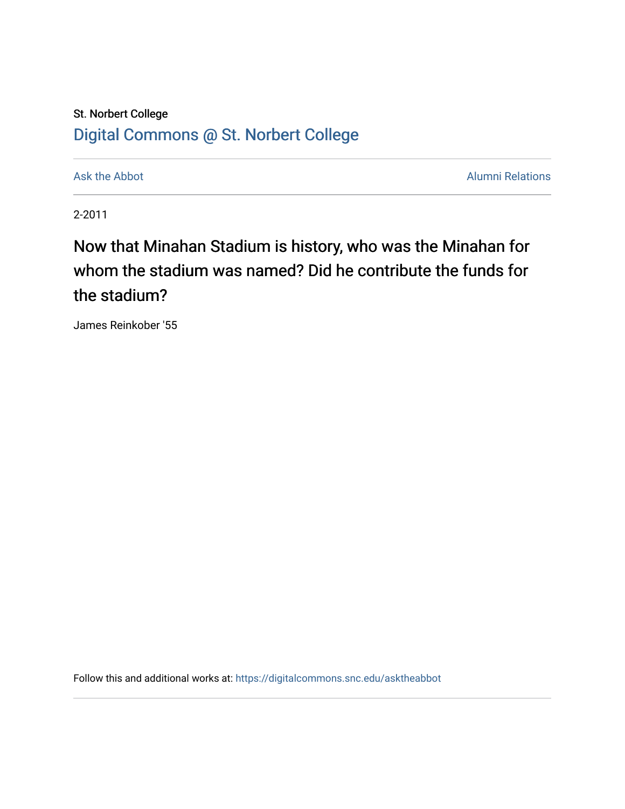## St. Norbert College [Digital Commons @ St. Norbert College](https://digitalcommons.snc.edu/)

[Ask the Abbot](https://digitalcommons.snc.edu/asktheabbot) **Alumni Relations** Ask the Abbot **Alumni Relations** 

2-2011

## Now that Minahan Stadium is history, who was the Minahan for whom the stadium was named? Did he contribute the funds for the stadium?

James Reinkober '55

Follow this and additional works at: [https://digitalcommons.snc.edu/asktheabbot](https://digitalcommons.snc.edu/asktheabbot?utm_source=digitalcommons.snc.edu%2Fasktheabbot%2F71&utm_medium=PDF&utm_campaign=PDFCoverPages)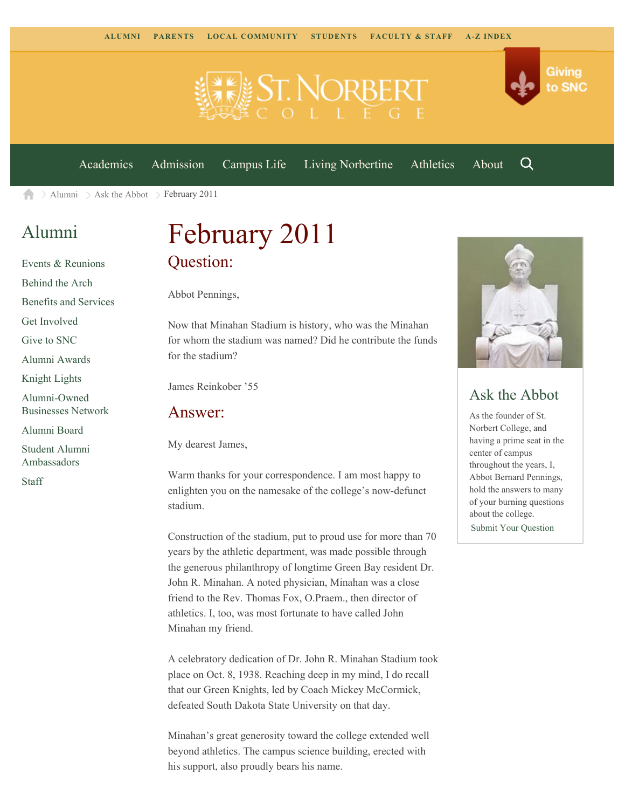

[Academics](https://www.snc.edu/academics) [Admission](https://www.snc.edu/admission) [Campus Life](https://www.snc.edu/campuslife) [Living Norbertine](https://www.snc.edu/livingnorbertine) [Athletics](https://www.snc.edu/athletics) [About](https://www.snc.edu/about)

Q

Giving

to SNC

[Alumni](https://www.snc.edu/alumni/)  $\geq$  [Ask the Abbot](https://www.snc.edu/alumni/abbot/)  $\geq$  February 2011 合

### [Alumni](https://www.snc.edu/alumni/index.html)

[Events & Reunions](https://www.snc.edu/alumni/event/index.html) [Behind the Arch](https://www.snc.edu/alumni/event/behindthearch/) [Benefits and Services](https://www.snc.edu/alumni/benefits.html) [Get Involved](https://www.snc.edu/alumni/getinvolved.html) [Give to SNC](http://giving.snc.edu/) [Alumni Awards](https://www.snc.edu/alumni/awards/index.html) [Knight Lights](https://www.snc.edu/alumni/knightlights/index.html) [Alumni-Owned](https://www.snc.edu/alumni/directory/index.html) [Businesses Network](https://www.snc.edu/alumni/directory/index.html) [Alumni Board](https://www.snc.edu/alumni/alumniboard.html) [Student Alumni](https://www.snc.edu/alumni/saa.html) [Ambassadors](https://www.snc.edu/alumni/saa.html) [Staff](https://www.snc.edu/alumni/contactus.html)

# February 2011 Question:

Abbot Pennings,

Now that Minahan Stadium is history, who was the Minahan for whom the stadium was named? Did he contribute the funds for the stadium?

James Reinkober '55

#### Answer:

My dearest James,

Warm thanks for your correspondence. I am most happy to enlighten you on the namesake of the college's now-defunct stadium.

Construction of the stadium, put to proud use for more than 70 years by the athletic department, was made possible through the generous philanthropy of longtime Green Bay resident Dr. John R. Minahan. A noted physician, Minahan was a close friend to the Rev. Thomas Fox, O.Praem., then director of athletics. I, too, was most fortunate to have called John Minahan my friend.

A celebratory dedication of Dr. John R. Minahan Stadium took place on Oct. 8, 1938. Reaching deep in my mind, I do recall that our Green Knights, led by Coach Mickey McCormick, defeated South Dakota State University on that day.

Minahan's great generosity toward the college extended well beyond athletics. The campus science building, erected with his support, also proudly bears his name.



#### Ask the Abbot

As the founder of St. Norbert College, and having a prime seat in the center of campus throughout the years, I, Abbot Bernard Pennings, hold the answers to many of your burning questions about the college. [Submit Your Question](https://www.snc.edu/alumni/abbot/index.html)